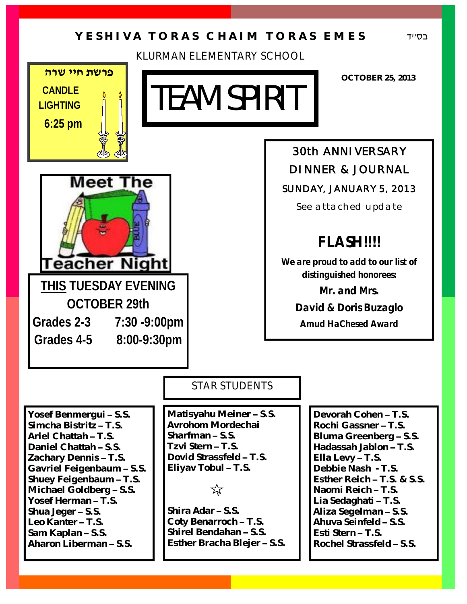# **Y E S H I V A T O R A S C H A I M T O R A S E M E S**

KLURMAN ELEMENTARY SCHOOL

בס''ד



# TEAM SPIRIT

**OCTOBER 25, 2013**



**THIS TUESDAY EVENING OCTOBER 29th**

**Grades 2-3 7:30 -9:00pm**

**Grades 4-5 8:00-9:30pm**

*30th ANNIVERSARY DINNER & JOURNAL SUNDAY, JANUARY 5, 2013* 

*See attached update*

# **FLASH!!!!**

**We are proud to add to our list of distinguished honorees:**

> **Mr. and Mrs. David & Doris Buzaglo Amud HaChesed Award**

# STAR STUDENTS

**Yosef Benmergui – S.S. Simcha Bistritz – T.S. Ariel Chattah – T.S. Daniel Chattah – S.S. Zachary Dennis – T.S. Gavriel Feigenbaum – S.S. Shuey Feigenbaum – T.S. Michael Goldberg – S.S. Yosef Herman – T.S. Shua Jeger – S.S. Leo Kanter – T.S. Sam Kaplan – S.S. Aharon Liberman – S.S.**

**Matisyahu Meiner – S.S. Avrohom Mordechai Sharfman – S.S. Tzvi Stern – T.S. Dovid Strassfeld – T.S. Eliyav Tobul – T.S.**

 $\breve{\mathbf{x}}$ 

**Shira Adar – S.S. Coty Benarroch – T.S. Shirel Bendahan – S.S. Esther Bracha Blejer – S.S.**

**Devorah Cohen – T.S. Rochi Gassner – T.S. Bluma Greenberg – S.S. Hadassah Jablon – T.S. Ella Levy – T.S. Debbie Nash - T.S. Esther Reich – T.S. & S.S. Naomi Reich – T.S. Lia Sedaghati – T.S. Aliza Segelman – S.S. Ahuva Seinfeld – S.S. Esti Stern – T.S. Rochel Strassfeld – S.S.**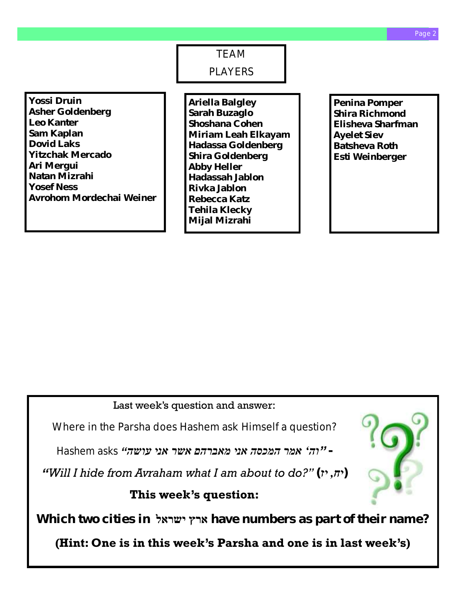TEAM PLAYERS

**Yossi Druin Asher Goldenberg Leo Kanter Sam Kaplan Dovid Laks Yitzchak Mercado Ari Mergui Natan Mizrahi Yosef Ness Avrohom Mordechai Weiner**

**Ariella Balgley Sarah Buzaglo Shoshana Cohen Miriam Leah Elkayam Hadassa Goldenberg Shira Goldenberg Abby Heller Hadassah Jablon Rivka Jablon Rebecca Katz Tehila Klecky Mijal Mizrahi**

**Penina Pomper Shira Richmond Elisheva Sharfman Ayelet Siev Batsheva Roth Esti Weinberger**

Last week's question and answer:

Where in the Parsha does Hashem ask Himself a question?

*- ''וה' אמר המכסה אני מאברהם אשר אני עושה" asks Hashem*

*"Will I hide from Avraham what I am about to do?"*  $(r, \pi)$ 

## **This week's question:**

**Which two cities in ישראל ארץ have numbers as part of their name?** 

**(Hint: One is in this week's Parsha and one is in last week's)**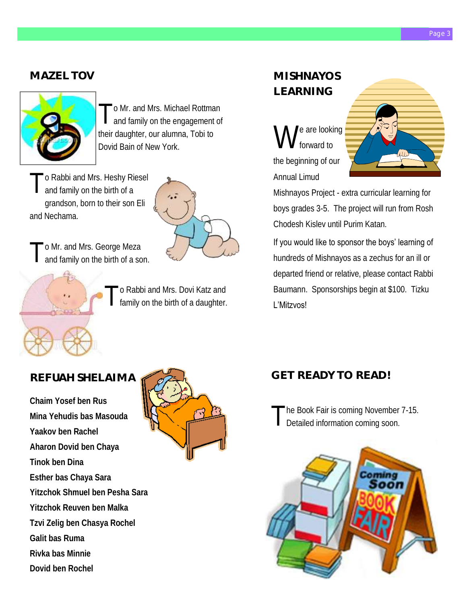# **MAZEL TOV**



T o Mr. and Mrs. Michael Rottman and family on the engagement of their daughter, our alumna, Tobi to Dovid Bain of New York.

T o Rabbi and Mrs. Heshy Riesel and family on the birth of a grandson, born to their son Eli and Nechama.



T o Mr. and Mrs. George Meza and family on the birth of a son.



o Rabbi and Mrs. Dovi Katz and family on the birth of a daughter.

## **REFUAH SHELAIMA**

**Chaim Yosef ben Rus Mina Yehudis bas Masouda Yaakov ben Rachel Aharon Dovid ben Chaya Tinok ben Dina Esther bas Chaya Sara Yitzchok Shmuel ben Pesha Sara Yitzchok Reuven ben Malka Tzvi Zelig ben Chasya Rochel Galit bas Ruma Rivka bas Minnie Dovid ben Rochel**



# **MISHNAYOS LEARNING**

W e are looking forward to the beginning of our Annual Limud



Mishnayos Project - extra curricular learning for boys grades 3-5. The project will run from Rosh Chodesh Kislev until Purim Katan.

If you would like to sponsor the boys' learning of hundreds of Mishnayos as a zechus for an ill or departed friend or relative, please contact Rabbi Baumann. Sponsorships begin at \$100. Tizku L'Mitzvos!

# **GET READY TO READ!**

T he Book Fair is coming November 7-15. Detailed information coming soon.

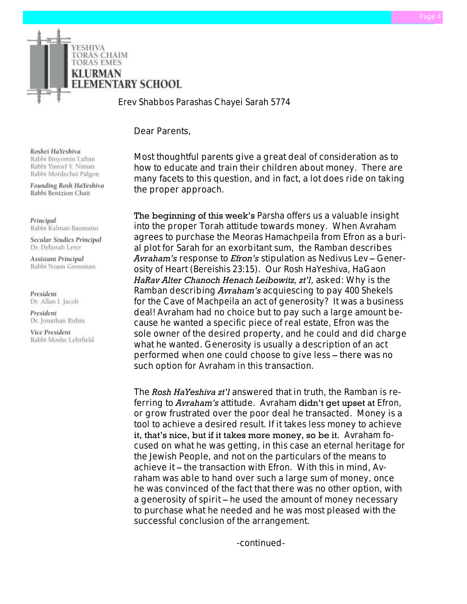

*Erev Shabbos Parashas Chayei Sarah 5774*

Dear Parents,

Roshei HaYeshiva Rabbi Binyomin Luban Rabbi Yisroel Y. Niman Rabbi Mordechai Palgon

Founding Rosh HaYeshiva Rabbi Bentzion Chait

Principal Rabbi Kalman Baumann

Secular Studies Principal Dr. Deborah Lerer

**Assistant Principal** Rabbi Noam Grossman

President Dr. Allan I. Jacob

President Dr. Jonathan Rubin

Vice President Rabbi Moshe Lehrfield Most thoughtful parents give a great deal of consideration as to how to educate and train their children about money. There are many facets to this question, and in fact, a lot does ride on taking the proper approach.

The beginning of this week's *Parsha* offers us a valuable insight into the proper Torah attitude towards money. When *Avraham* agrees to purchase the *Meoras Hamachpeila* from *Efron* as a burial plot for *Sarah* for an exorbitant sum, the *Ramban* describes *Avraham's* response to *Efron's* stipulation as *Nedivus Lev* – *Generosity of Heart (Bereishis 23:15)*. Our *Rosh HaYeshiva, HaGaon HaRav Alter Chanoch Henach Leibowitz, zt'l*, asked: Why is the *Ramban* describing *Avraham's* acquiescing to pay *400 Shekels* for the *Cave of Machpeila* an act of generosity? It was a business deal! *Avraham* had no choice but to pay such a large amount because he wanted a specific piece of real estate*, Efron* was the sole owner of the desired property, and he could and did charge what he wanted. Generosity is usually a description of an act performed when one could choose to give less – there was no such option for *Avraham* in this transaction.

The *Rosh HaYeshiva zt'l* answered that in truth, the *Ramban* is referring to *Avraham's* attitude. *Avraham* didn't get upset at *Efron*, or grow frustrated over the poor deal he transacted. Money is a tool to achieve a desired result. If it takes less money to achieve it, that's nice, but if it takes more money, so be it. *Avraham* focused on what he was getting, in this case an eternal heritage for the Jewish People, and not on the particulars of the means to achieve it – the transaction with *Efron*. With this in mind, *Avraham* was able to hand over such a large sum of money, once he was convinced of the fact that there was no other option, with a generosity of spirit – he used the amount of money necessary to purchase what he needed and he was most pleased with the successful conclusion of the arrangement.

-continued-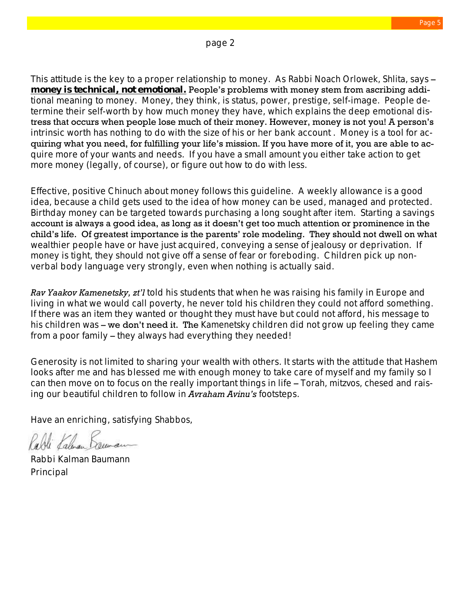page 2

This attitude is the key to a proper relationship to money. As *Rabbi Noach Orlowek, Shlita*, says – **money is technical, not emotional.** People's problems with money stem from ascribing additional meaning to money. Money, they think, is status, power, prestige, self-image. People determine their self-worth by how much money they have, which explains the deep emotional distress that occurs when people lose much of their money. However, money is not you! A person's intrinsic worth has nothing to do with the size of his or her bank account . Money is a tool for acquiring what you need, for fulfilling your life's mission. If you have more of it, you are able to acquire more of your wants and needs. If you have a small amount you either take action to get more money (legally, of course), or figure out how to do with less.

Effective, positive *Chinuch* about money follows this guideline. A weekly allowance is a good idea, because a child gets used to the idea of how money can be used, managed and protected. Birthday money can be targeted towards purchasing a long sought after item. Starting a savings account is always a good idea, as long as it doesn't get too much attention or prominence in the child's life. Of greatest importance is the parents' role modeling. They should not dwell on what wealthier people have or have just acquired, conveying a sense of jealousy or deprivation. If money is tight, they should not give off a sense of fear or foreboding. Children pick up nonverbal body language very strongly, even when nothing is actually said.

*Rav Yaakov Kamenetsky, zt'l* told his students that when he was raising his family in Europe and living in what we would call poverty, he never told his children they could not afford something. If there was an item they wanted or thought they must have but could not afford, his message to his children was – we don't need it. The *Kamenetsky* children did not grow up feeling they came from a poor family – they always had everything they needed!

Generosity is not limited to sharing your wealth with others. It starts with the attitude that *Hashem* looks after me and has blessed me with enough money to take care of myself and my family so I can then move on to focus on the really important things in life – *Torah, mitzvos, chesed* and raising our beautiful children to follow in *Avraham Avinu's* footsteps.

Have an enriching, satisfying *Shabbos*,

Rabbi Kalman Baumann Principal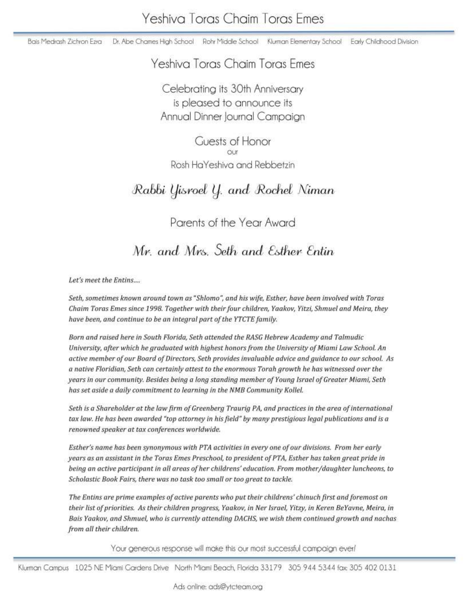Bais Medrash Zichron Ezra Dr. Abe Chames High School Rohr Middle School Kluman Elementary School Early Childhood Division

# Yeshiva Toras Chaim Toras Emes

Celebrating its 30th Anniversary is pleased to announce its Annual Dinner Journal Campaign

**Cuests of Honor** Rosh HaYeshiva and Rebbetzin

# Rabbi Yisroel Y. and Rochel Niman

Parents of the Year Award

Mr. and Mrs. Seth and Esther Entin

Let's meet the Entins....

Seth, sometimes known around town as "Shlomo", and his wife, Esther, have been involved with Toras Chaim Toras Emes since 1998. Together with their four children, Yaakov, Yitzi, Shmuel and Meira, they have been, and continue to be an integral part of the YTCTE family.

Born and raised here in South Florida, Seth attended the RASG Hebrew Academy and Talmudic University, after which he graduated with highest honors from the University of Miami Law School. An active member of our Board of Directors, Seth provides invaluable advice and guidance to our school. As a native Floridian, Seth can certainly attest to the enormous Torah growth he has witnessed over the years in our community. Besides being a long standing member of Young Israel of Greater Miami, Seth has set aside a daily commitment to learning in the NMB Community Kollel.

Seth is a Shareholder at the law firm of Greenberg Traurig PA, and practices in the area of international tax law. He has been awarded "top attorney in his field" by many prestigious legal publications and is a renowned speaker at tax conferences worldwide.

Esther's name has been synonymous with PTA activities in every one of our divisions. From her early years as an assistant in the Toras Emes Preschool, to president of PTA, Esther has taken great pride in being an active participant in all areas of her childrens' education. From mother/daughter luncheons, to Scholastic Book Fairs, there was no task too small or too great to tackle.

The Entins are prime examples of active parents who put their childrens' chinuch first and foremost on their list of priorities. As their children progress, Yaakov, in Ner Israel, Yitzy, in Keren BeYavne, Meira, in Bais Yaakov, and Shmuel, who is currently attending DACHS, we wish them continued growth and nachas from all their children.

Your generous response will make this our most successful campaign ever!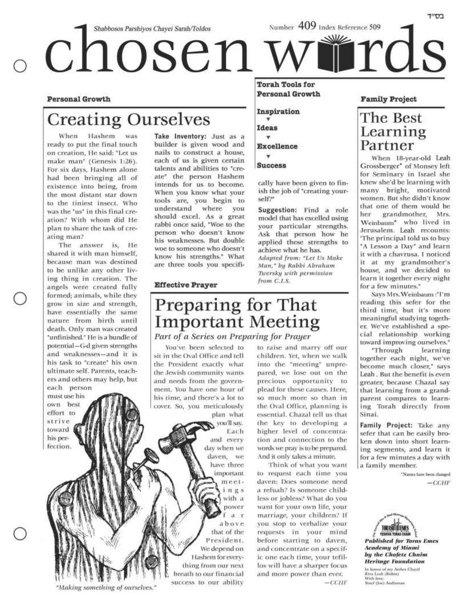**Personal Growth** 

# **Creating Ourselves**

When Hashem was ready to put the final touch on creation. He said: "Let us make man' (Genesis 1:26). For six days, Hashem alone had been bringing all of existence into being, from the most distant star down to the tiniest insect. Who was the 'us' in this final creation? With whom did He plan to share the task of creating man?

The answer is, He shared it with man himself, because man was destined to be unlike any other living thing in creation. The angels were created fully formed; animals, while they grow in size and strength, have essentially the same nature from birth until death. Only man was created 'unfinished.' He is a bundle of potential-G-d given strengths and weaknesses-and it is his task to "create" his own ultimate self. Parents, teachers and others may help, but each person

must use his own best effort to strive toward his perfection.

Take Inventory: Just as a builder is given wood and nails to construct a house, each of us is given certain talents and abilities to "create" the person Hashem intends for us to become. When you know what your tools are, you begin to understand where you should excel. As a great rabbi once said, "Woe to the person who doesn't know his weaknesses. But double woe to someone who doesn't know his strengths." What are three tools you specifi-

#### **Effective Prayer**

You've been selected to

sit in the Oval Office and tell

the President exactly what

the Jewish community wants

and needs from the govern-

ment. You have one hour of

his time, and there's a lot to

cover. So, you meticulously

Preparing for That

**Important Meeting** 

plan what

you'll say.

and every

day when we

daven, we

have three

important

meet-

ings with a

Each

#### **Torah Tools for Personal Growth**

Inspiration Ideas

**Excellence** 

÷

**Success** 

cally have been given to finish the job of "creating yourself?"

Suggestion: Find a role model that has excelled using your particular strengths. Ask that person how he applied these strengths to achieve what he has. Adapted from: "Let Us Make Man," by Rabbi Abraham Twersky with permission from C.I.S.

#### **Family Project**

בס״ד

# The Best Learning Partner

When 18-year-old Leah Grossberger<sup>\*</sup> of Monsey left for Seminary in Israel she knew she'd be learning with many bright, motivated women. But she didn't know that one of them would be her grandmother, Mrs. Weinbaum\* who lived in Jerusalem. Leah recounts: The principal told us to buy "A Lesson a Day" and learn it with a chavrusa. I noticed it at my grandmother's house, and we decided to learn it together every night for a few minutes."

Says Mrs. Weinbaum:"I'm reading this sefer for the third time, but it's more meaningful studying together. We've established a special relationship working toward improving ourselves.<sup>\*</sup>

"Through learning together each night, we've become much closer," says Leah. But the benefit is even greater, because Chazal say that learning from a grandparent compares to learning Torah directly from Sinai.

Family Project: Take any sefer that can be easily broken down into short learning segments, and learn it for a few minutes a day with a family member.

> \*Names have been changed  $-CCHF$

**Published for Toras Emes Academy of Miami** by the Chofetz Chaim **Heritage Foundation** 

In honor of my Aishes Chayil<br>Riva Leah (Robin) With love.<br>Yosef (Joe) Andisman

"Making something of ourselves."

power f a r above that of the President. We depend on Hashem for everything from our next breath to our financial success to our ability

Part of a Series on Preparing for Prayer to raise and marry off our children. Yet, when we walk into the "meeting" unprepared, we lose out on the precious opportunity to plead for these causes. Here, so much more so than in the Oval Office, planning is essential. Chazal tell us that the key to developing a higher level of concentration and connection to the words we pray is to be prepared. And it only takes a minute.

Think of what you want to request each time you daven: Does someone need a refuah? Is someone childless or jobless? What do you want for your own life, your marriage, your children? If you stop to verbalize your requests in your mind before starting to daven, and concentrate on a specific one each time, your tefillos will have a sharper focus and more power than ever.  $-CCHF$